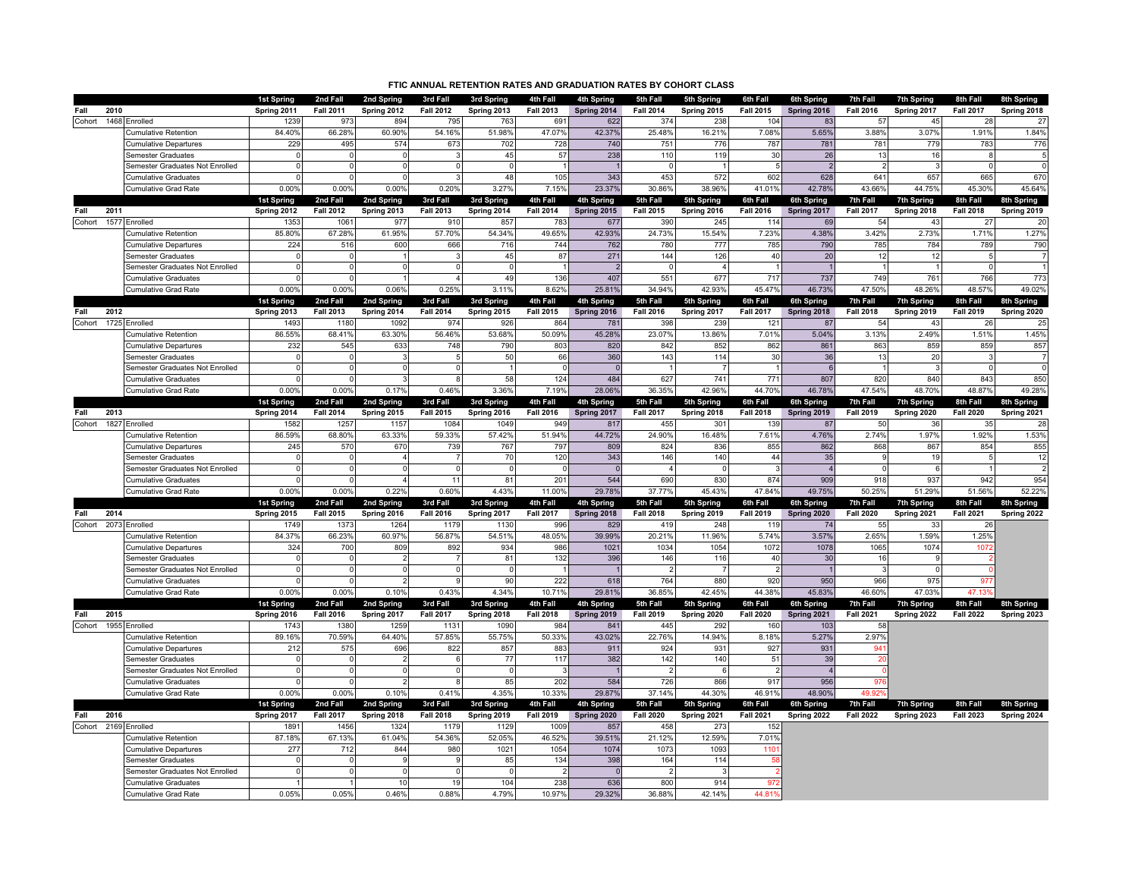| FTIC ANNUAL RETENTION RATES AND GRADUATION RATES BY COHORT CLASS |                                                       |                                  |                              |                           |                              |                           |                              |                           |                              |                           |                              |                           |                              |                                  |                              |                           |
|------------------------------------------------------------------|-------------------------------------------------------|----------------------------------|------------------------------|---------------------------|------------------------------|---------------------------|------------------------------|---------------------------|------------------------------|---------------------------|------------------------------|---------------------------|------------------------------|----------------------------------|------------------------------|---------------------------|
|                                                                  |                                                       | 1st Spring                       | 2nd Fall                     | 2nd Spring                | 3rd Fall                     | 3rd Spring                | 4th Fall                     | 4th Spring                | 5th Fall                     | 5th Spring                | 6th Fall                     | 6th Spring                | 7th Fall                     | 7th Spring                       | 8th Fall                     | 8th Spring                |
| 2010<br>Fall                                                     |                                                       | Spring 2011                      | <b>Fall 2011</b>             | Spring 2012               | <b>Fall 2012</b>             | Spring 2013               | <b>Fall 2013</b>             | Spring 2014               | <b>Fall 2014</b>             | Spring 2015               | <b>Fall 2015</b>             | Spring 2016               | <b>Fall 2016</b>             | Spring 2017                      | <b>Fall 2017</b>             | Spring 2018               |
| 1468<br>Cohort                                                   | Enrolled                                              | 1239                             | 973                          | 894                       | 795                          | 763                       | 691                          | 622                       | 374                          | 238                       | 104                          | 83                        | 57                           | 4 <sub>5</sub>                   | -28                          | 27                        |
|                                                                  | Cumulative Retention                                  | 84.40%                           | 66.28%                       | 60.90%                    | 54.16%                       | 51.98%                    | 47.07%                       | 42.37%                    | 25.48%                       | 16.21%                    | 7.08%                        | 5.65%                     | 3.88%                        | 3.07%                            | 1.91%                        | 1.84%                     |
|                                                                  | <b>Cumulative Departures</b>                          | 229                              | 495                          | 574                       | 673                          | 702                       | 728                          | 740                       | 751                          | 776                       | 787                          | 781                       | 781                          | 779                              | 783                          | 776                       |
|                                                                  | Semester Graduates                                    | $\Omega$                         | $\Omega$                     | $\Omega$                  |                              | 45                        | 57                           | 238                       | 110                          | 119                       | 30                           | 26                        | 13                           | 16                               | 8                            | 5                         |
|                                                                  | Semester Graduates Not Enrolled                       | $\Omega$                         | $\Omega$                     | $\Omega$                  | $\Omega$                     | $\mathfrak{c}$            |                              |                           | $\Omega$                     |                           |                              | $\overline{2}$            | $\overline{2}$               |                                  | $\Omega$                     | $\mathbf 0$               |
|                                                                  | <b>Cumulative Graduates</b>                           |                                  | $\Omega$                     |                           |                              | 48                        | 105                          | 343                       | 453                          | 572                       | 602                          | 628                       | 641                          | 657                              | 665                          | 670                       |
|                                                                  | <b>Cumulative Grad Rate</b>                           | 0.00%                            | 0.00%                        | 0.00%                     | 0.20%                        | 3.27%                     | 7.15%                        | 23.37%                    | 30.86%                       | 38.96%                    | 41.01%                       | 42.78%                    | 43.66%                       | 44.75%                           | 45.30%                       | 45.64%                    |
| 2011                                                             |                                                       | 1st Spring                       | 2nd Fall<br><b>Fall 2012</b> | 2nd Spring                | 3rd Fall                     | 3rd Spring                | 4th Fall                     | 4th Spring                | 5th Fall                     | 5th Spring                | 6th Fall                     | 6th Spring<br>Spring 2017 | 7th Fall<br><b>Fall 2017</b> | <b>7th Spring</b><br>Spring 2018 | 8th Fall<br><b>Fall 2018</b> | 8th Spring                |
| Fall<br>1577<br>Cohort                                           | Enrolled                                              | Spring 2012<br>1353              | 1061                         | Spring 2013<br>977        | <b>Fall 2013</b><br>910      | Spring 2014<br>857        | <b>Fall 2014</b><br>783      | Spring 2015<br>677        | <b>Fall 2015</b><br>390      | Spring 2016<br>245        | <b>Fall 2016</b><br>114      | 69                        | 54                           | 43                               | 27                           | Spring 2019<br>20         |
|                                                                  | Cumulative Retention                                  | 85.80%                           | 67.28%                       | 61.95%                    | 57.70%                       | 54.34%                    | 49.65%                       | 42.93%                    | 24.73%                       | 15.54%                    | 7.23%                        | 4.38%                     | 3.42%                        | 2.73%                            | 1.71%                        | 1.27%                     |
|                                                                  | <b>Cumulative Departures</b>                          | 224                              | 516                          | 600                       | 666                          | 716                       | 744                          | 762                       | 780                          | 777                       | 785                          | 790                       | 785                          | 784                              | 789                          | 790                       |
|                                                                  | <b>Semester Graduates</b>                             | $\Omega$                         | $\Omega$                     |                           |                              | 45                        | 87                           | 271                       | 144                          | 126                       | 40                           | 20                        | 12                           | 12                               |                              | $\overline{7}$            |
|                                                                  | Semester Graduates Not Enrolled                       | $\Omega$                         | $\Omega$                     |                           |                              |                           |                              |                           |                              |                           |                              |                           |                              |                                  |                              |                           |
|                                                                  | Cumulative Graduates                                  |                                  | $\Omega$                     |                           |                              | 49                        | 136                          | 407                       | 551                          | 677                       | 717                          | 737                       | 749                          | 761                              | 766                          | 773                       |
|                                                                  | Cumulative Grad Rate                                  | 0.00%                            | 0.00%                        | 0.06%                     | 0.25%                        | 3.11%                     | 8.62%                        | 25.81%                    | 34.94%                       | 42.93%                    | 45.47%                       | 46.73%                    | 47.50%                       | 48.26%                           | 48.57%                       | 49.02%                    |
|                                                                  |                                                       | 1st Spring                       | 2nd Fall                     | 2nd Spring                | 3rd Fall                     | 3rd Spring                | 4th Fall                     | 4th Spring                | 5th Fall                     | 5th Spring                | 6th Fall                     | 6th Spring                | 7th Fall                     | <b>7th Spring</b>                | 8th Fall                     | 8th Spring                |
| 2012<br>Fall                                                     |                                                       | Spring 2013                      | <b>Fall 2013</b>             | Spring 2014               | <b>Fall 2014</b>             | Spring 2015               | <b>Fall 2015</b>             | Spring 2016               | <b>Fall 2016</b>             | Spring 2017               | <b>Fall 2017</b>             | Spring 2018               | <b>Fall 2018</b>             | Spring 2019                      | <b>Fall 2019</b>             | Spring 2020               |
| Cohort 1725 Enrolled                                             |                                                       | 1493                             | 1180                         | 1092                      | 974                          | 926                       | 864                          | 781                       | 398                          | 239                       | 121                          | 87                        | 54                           | 43                               | -26                          | 25                        |
|                                                                  | Cumulative Retention                                  | 86.55%                           | 68.41%                       | 63.30%                    | 56.46%                       | 53.68%                    | 50.09%                       | 45.28%                    | 23.07%                       | 13.86%                    | 7.01%                        | 5.04%                     | 3.13%                        | 2.49%                            | 1.51%                        | 1.45%                     |
|                                                                  | <b>Cumulative Departures</b>                          | 232                              | 545                          | 633                       | 748                          | 790                       | 803                          | 820                       | 842                          | 852                       | 862                          | 861                       | 863                          | 859                              | 859                          | 857                       |
|                                                                  | Semester Graduates                                    | U                                | $\Omega$                     |                           |                              | 50                        | 66                           | 360                       | 143                          | 114                       | 30                           | 36                        | 13                           | 20                               |                              | $\overline{7}$            |
|                                                                  | Semester Graduates Not Enrolled                       | 0                                | 0                            | 0                         | $\Omega$                     |                           |                              |                           |                              |                           |                              | 6                         |                              |                                  |                              | $\mathbf 0$               |
|                                                                  | <b>Cumulative Graduates</b>                           |                                  | $\Omega$                     |                           |                              | 58                        | 124                          | 484                       | 627                          | 741                       | 771                          | 807                       | 820                          | 840                              | 843                          | 850                       |
|                                                                  | Cumulative Grad Rate                                  | 0.00%                            | 0.00%                        | 0.17%                     | 0.46%                        | 3.36%                     | 7.19%                        | 28.06%                    | 36.35%                       | 42.96%                    | 44.70%                       | 46.78%                    | 47.54%                       | 48.70%                           | 48.87%                       | 49.28%                    |
| 2013<br>Fall                                                     |                                                       | <b>1st Spring</b><br>Spring 2014 | 2nd Fall<br><b>Fall 2014</b> | 2nd Spring<br>Spring 2015 | 3rd Fall<br><b>Fall 2015</b> | 3rd Spring<br>Spring 2016 | 4th Fall<br><b>Fall 2016</b> | 4th Spring<br>Spring 2017 | 5th Fall<br><b>Fall 2017</b> | 5th Spring<br>Spring 2018 | 6th Fall<br><b>Fall 2018</b> | 6th Spring<br>Spring 2019 | 7th Fall<br><b>Fall 2019</b> | <b>7th Spring</b><br>Spring 2020 | 8th Fall<br><b>Fall 2020</b> | 8th Spring<br>Spring 2021 |
| 1827<br>Cohort                                                   | Enrolled                                              | 1582                             | 1257                         | 1157                      | 1084                         | 1049                      | 94 <sup>9</sup>              | 817                       | 455                          | 301                       | 139                          | 87                        | 50                           | 36                               | 35                           | 28                        |
|                                                                  | Cumulative Retention                                  | 86.59%                           | 68.80%                       | 63.33%                    | 59.33%                       | 57.42%                    | 51.94%                       | 44.72%                    | 24.90%                       | 16.48%                    | 7.61%                        | 4.76%                     | 2.74%                        | 1.97%                            | 1.92%                        | 1.53%                     |
|                                                                  | <b>Cumulative Departures</b>                          | 245                              | 570                          | 67C                       | 739                          | 767                       | 797                          | 809                       | 824                          | 836                       | 855                          | 862                       | 868                          | 867                              | 854                          | 855                       |
|                                                                  | Semester Graduates                                    |                                  | $\Omega$                     |                           |                              | 70                        | 120                          | 343                       | 146                          | 140                       | 44                           | 35                        |                              | 19                               |                              | 12                        |
|                                                                  | Semester Graduates Not Enrolled                       | $\Omega$                         | 0                            | $\Omega$                  | - 0                          | - 0                       |                              | - 0                       | $\overline{4}$               | $\Omega$                  | -3                           | $\overline{4}$            | $\Omega$                     |                                  |                              | $\overline{2}$            |
|                                                                  | <b>Cumulative Graduates</b>                           |                                  | $\Omega$                     |                           | 11                           | 81                        | 201                          | 544                       | 690                          | 830                       | 874                          | 909                       | 918                          | 937                              | 942                          | 954                       |
|                                                                  | Cumulative Grad Rate                                  | 0.00%                            | 0.00%                        | 0.22%                     | 0.60%                        | 4.43%                     | 11.00%                       | 29.78%                    | 37.77%                       | 45.43%                    | 47.84%                       | 49.75%                    | 50.25%                       | 51.29%                           | 51.56%                       | 52.22%                    |
|                                                                  |                                                       | 1st Spring                       | 2nd Fall                     | 2nd Spring                | 3rd Fall                     | 3rd Spring                | 4th Fall                     | 4th Spring                | 5th Fall                     | 5th Spring                | 6th Fall                     | 6th Spring                | 7th Fall                     | <b>7th Spring</b>                | 8th Fall                     | 8th Spring                |
| 2014<br>Fall                                                     |                                                       | Spring 2015                      | <b>Fall 2015</b>             | Spring 2016               | <b>Fall 2016</b>             | Spring 2017               | <b>Fall 2017</b>             | Spring 2018               | <b>Fall 2018</b>             | Spring 2019               | <b>Fall 2019</b>             | Spring 2020               | <b>Fall 2020</b>             | Spring 2021                      | <b>Fall 2021</b>             | Spring 2022               |
| Cohort 2073 Enrolled                                             |                                                       | 1749                             | 1373                         | 1264                      | 1179                         | 1130                      | 996                          | 829                       | 419                          | 248                       | 119                          | 74                        | 55                           | -33                              | -26                          |                           |
|                                                                  | Cumulative Retention                                  | 84.379                           | 66.23%                       | 60.97%                    | 56.87%                       | 54.51%                    | 48.05%                       | 39.99%                    | 20.21%                       | 11.96%                    | 5.74%                        | 3.57%                     | 2.65%                        | 1.59%                            | 1.25%                        |                           |
|                                                                  | <b>Cumulative Departures</b>                          | 324                              | 700                          | 809                       | 892                          | 934                       | 986                          | 1021                      | 1034                         | 1054                      | 1072                         | 1078                      | 1065                         | 1074                             | 107                          |                           |
|                                                                  | Semester Graduates                                    | $\Omega$                         | $\Omega$                     |                           |                              | 81                        | 132                          | 396                       | 146                          | 116                       | 40                           | 30                        | 16                           |                                  |                              |                           |
|                                                                  | Semester Graduates Not Enrolled                       | $\Omega$                         | $\Omega$                     | $\Omega$                  | $\Omega$                     | - 0                       |                              |                           | $\mathcal{P}$                |                           | $\overline{2}$               |                           | 3                            |                                  |                              |                           |
|                                                                  | <b>Cumulative Graduates</b>                           |                                  | $\Omega$                     |                           |                              | 90                        | 222                          | 618                       | 764                          | 880                       | 920                          | 950                       | 966                          | 975                              | Q <sub>7</sub>               |                           |
|                                                                  | <b>Cumulative Grad Rate</b>                           | 0.00%                            | 0.00%<br>2nd Fall            | 0.10%<br>2nd Spring       | 0.43%<br>3rd Fall            | 4.34%<br>3rd Spring       | 10.71%<br>4th Fall           | 29.81%<br>4th Spring      | 36.85%<br>5th Fall           | 42.45%<br>5th Spring      | 44.38%<br>6th Fall           | 45.83%<br>6th Spring      | 46.60%<br>7th Fall           | 47.03%                           | 47.13<br>8th Fall            | 8th Spring                |
| 2015<br>Fall                                                     |                                                       | 1st Spring<br>Spring 2016        | <b>Fall 2016</b>             | Spring 2017               | <b>Fall 2017</b>             | Spring 2018               | <b>Fall 2018</b>             | Spring 2019               | <b>Fall 2019</b>             | Spring 2020               | <b>Fall 2020</b>             | Spring 2021               | <b>Fall 2021</b>             | <b>7th Spring</b><br>Spring 2022 | <b>Fall 2022</b>             | Spring 2023               |
| 1955<br>Cohort                                                   | Enrolled                                              | 1743                             | 1380                         | 1259                      | 1131                         | 1090                      | 984                          | 841                       | 445                          | 292                       | 160                          | 103                       | 58                           |                                  |                              |                           |
|                                                                  | Cumulative Retention                                  | 89.16%                           | 70.59%                       | 64.40%                    | 57.85%                       | 55.75%                    | 50.33%                       | 43.02%                    | 22.76%                       | 14.94%                    | 8.18%                        | 5.27%                     | 2.97%                        |                                  |                              |                           |
|                                                                  | <b>Cumulative Departures</b>                          | 212                              | 575                          | 696                       | 822                          | 857                       | 883                          | 911                       | 924                          | 93 <sup>°</sup>           | 927                          | 931                       | $Q_{A}$                      |                                  |                              |                           |
|                                                                  | Semester Graduates                                    |                                  |                              |                           |                              | 77                        | 117                          | 382                       | 142                          | 140                       | 51                           | 39                        |                              |                                  |                              |                           |
|                                                                  | Semester Graduates Not Enrolled                       | $\Omega$                         | 0                            | 0                         | $\Omega$                     | - 0                       |                              |                           | 2                            | $\epsilon$                | $\mathcal{P}$                | $\overline{4}$            |                              |                                  |                              |                           |
|                                                                  | <b>Cumulative Graduates</b>                           |                                  |                              |                           |                              | 85                        | 202                          | 584                       | 726                          | 866                       | 917                          | 956                       |                              |                                  |                              |                           |
|                                                                  | Cumulative Grad Rate                                  | 0.00%                            | 0.00%                        | 0.10%                     | 0.41%                        | 4.35%                     | 10.33%                       | 29.87%                    | 37.14%                       | 44.30%                    | 46.91%                       | 48.90%                    | 49.93                        |                                  |                              |                           |
|                                                                  |                                                       | 1st Spring                       | 2nd Fall                     | 2nd Spring                | 3rd Fall                     | 3rd Spring                | 4th Fall                     | 4th Spring                | 5th Fall                     | 5th Spring                | 6th Fall                     | 6th Spring                | 7th Fall                     | <b>7th Spring</b>                | 8th Fall                     | 8th Spring                |
| 2016<br>Fall                                                     |                                                       | Spring 2017                      | <b>Fall 2017</b>             | Spring 2018               | <b>Fall 2018</b>             | Spring 2019               | <b>Fall 2019</b>             | Spring 2020               | <b>Fall 2020</b>             | Spring 2021               | <b>Fall 2021</b>             | Spring 2022               | <b>Fall 2022</b>             | Spring 2023                      | <b>Fall 2023</b>             | Spring 2024               |
| Cohort 2169 Enrolled                                             |                                                       | 189 <sup>°</sup>                 | 1456                         | 1324                      | 1179                         | 1129                      | 1009                         | 857                       | 458                          | 273                       | 152                          |                           |                              |                                  |                              |                           |
|                                                                  | Cumulative Retention                                  | 87.18%                           | 67.13%                       | 61.04%                    | 54.36%                       | 52.05%                    | 46.52%                       | 39.51%                    | 21.12%                       | 12.59%                    | 7.01%                        |                           |                              |                                  |                              |                           |
|                                                                  | <b>Cumulative Departures</b>                          | 277                              | 712                          | 844                       | 980                          | 1021                      | 1054                         | 1074                      | 1073                         | 1093                      | 110 <sup>°</sup>             |                           |                              |                                  |                              |                           |
|                                                                  | Semester Graduates<br>Semester Graduates Not Enrolled |                                  | 0<br>$\Omega$                |                           | $\Omega$                     | 85                        | 134                          | 398                       | 164                          | 114                       |                              |                           |                              |                                  |                              |                           |
|                                                                  | <b>Cumulative Graduates</b>                           |                                  |                              | 10                        | 19                           | 104                       | 238                          | 636                       | 800                          | 914                       | Q <sub>7</sub>               |                           |                              |                                  |                              |                           |
|                                                                  | <b>Cumulative Grad Rate</b>                           | 0.05%                            | 0.05%                        | 0.46%                     | 0.88%                        | 4.79%                     | 10.97%                       | 29.32%                    | 36.88%                       | 42.14%                    | 44.81                        |                           |                              |                                  |                              |                           |
|                                                                  |                                                       |                                  |                              |                           |                              |                           |                              |                           |                              |                           |                              |                           |                              |                                  |                              |                           |